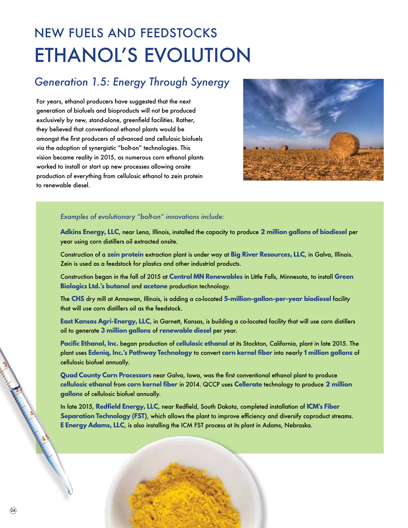## NEW FUELS AND FEEDSTOCKS ETHANOL'S EVOLUTION

## *Generation 1.5: Energy Through Synergy*

For years, ethanol producers have suggested that the next generation of biofuels and bioproducts will not be produced exclusively by new, stand-alone, greenfield facilities. Rather, they believed that conventional ethanol plants would be amongst the first producers of advanced and cellulosic biofuels via the adoption of synergistic "bolt-on" technologies. This vision became reality in 2015, as numerous corn ethanol plants worked to install or start up new processes allowing onsite production of everything from cellulosic ethanol to zein protein to renewable diesel.



## *Examples of evolutionary "bolt-on" innovations include:*

**Adkins Energy, LLC**, near Lena, Illinois, installed the capacity to produce **2 million gallons of biodiesel** per year using corn distillers oil extracted onsite.

Construction of a **zein protein** extraction plant is under way at **Big River Resources, LLC**, in Galva, Illinois. Zein is used as a feedstock for plastics and other industrial products.

Construction began in the fall of 2015 at **Central MN Renewables** in Little Falls, Minnesota, to install **Green Biologics Ltd.'s butanol** and **acetone** production technology.

The **CHS** dry mill at Annawan, Illinois, is adding a co-located **5-million-gallon-per-year biodiesel** facility that will use corn distillers oil as the feedstock.

**East Kansas Agri-Energy, LLC**, in Garnett, Kansas, is building a co-located facility that will use corn distillers oil to generate **3 million gallons** of **renewable diesel** per year.

**Pacific Ethanol, Inc.** began production of **cellulosic ethanol** at its Stockton, California, plant in late 2015. The plant uses **Edeniq, Inc.'s Pathway Technology** to convert **corn kernel fiber** into nearly **1 million gallons** of cellulosic biofuel annually.

**Quad County Corn Processors** near Galva, Iowa, was the first conventional ethanol plant to produce **cellulosic ethanol** from **corn kernel fiber** in 2014. QCCP uses **Cellerate** technology to produce **2 million gallons** of cellulosic biofuel annually.

In late 2015, **Redfield Energy, LLC**, near Redfield, South Dakota, completed installation of **ICM's Fiber Separation Technology (FST)**, which allows the plant to improve efficiency and diversify coproduct streams. **E Energy Adams, LLC**, is also installing the ICM FST process at its plant in Adams, Nebraska.